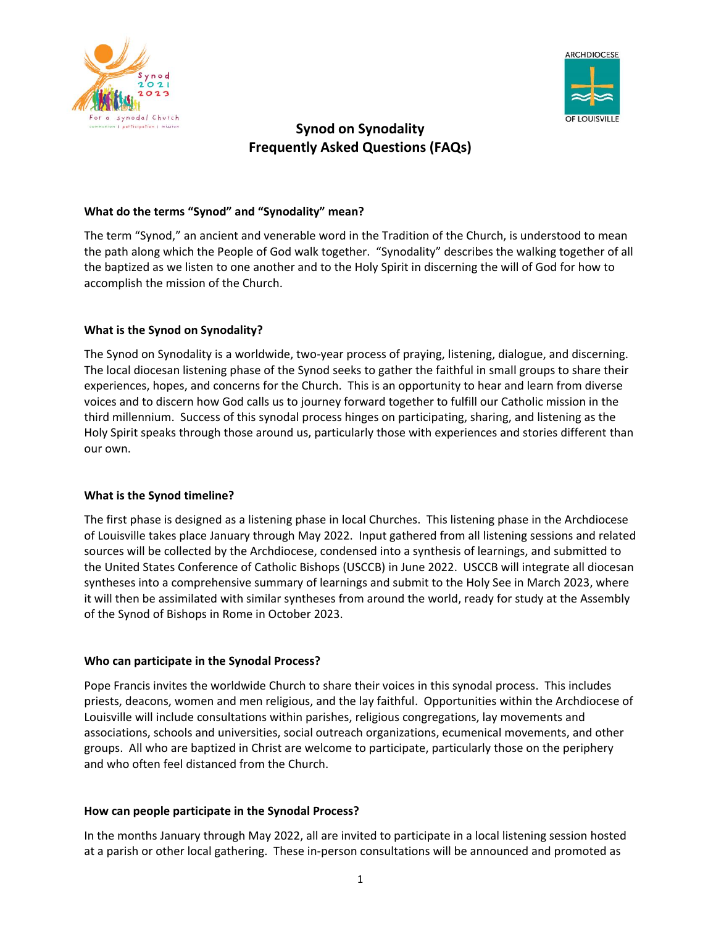



# **Synod on Synodality Frequently Asked Questions (FAQs)**

## **What do the terms "Synod" and "Synodality" mean?**

The term "Synod," an ancient and venerable word in the Tradition of the Church, is understood to mean the path along which the People of God walk together. "Synodality" describes the walking together of all the baptized as we listen to one another and to the Holy Spirit in discerning the will of God for how to accomplish the mission of the Church.

### **What is the Synod on Synodality?**

The Synod on Synodality is a worldwide, two-year process of praying, listening, dialogue, and discerning. The local diocesan listening phase of the Synod seeks to gather the faithful in small groups to share their experiences, hopes, and concerns for the Church. This is an opportunity to hear and learn from diverse voices and to discern how God calls us to journey forward together to fulfill our Catholic mission in the third millennium. Success of this synodal process hinges on participating, sharing, and listening as the Holy Spirit speaks through those around us, particularly those with experiences and stories different than our own.

### **What is the Synod timeline?**

The first phase is designed as a listening phase in local Churches. This listening phase in the Archdiocese of Louisville takes place January through May 2022. Input gathered from all listening sessions and related sources will be collected by the Archdiocese, condensed into a synthesis of learnings, and submitted to the United States Conference of Catholic Bishops (USCCB) in June 2022. USCCB will integrate all diocesan syntheses into a comprehensive summary of learnings and submit to the Holy See in March 2023, where it will then be assimilated with similar syntheses from around the world, ready for study at the Assembly of the Synod of Bishops in Rome in October 2023.

### **Who can participate in the Synodal Process?**

Pope Francis invites the worldwide Church to share their voices in this synodal process. This includes priests, deacons, women and men religious, and the lay faithful. Opportunities within the Archdiocese of Louisville will include consultations within parishes, religious congregations, lay movements and associations, schools and universities, social outreach organizations, ecumenical movements, and other groups. All who are baptized in Christ are welcome to participate, particularly those on the periphery and who often feel distanced from the Church.

### **How can people participate in the Synodal Process?**

In the months January through May 2022, all are invited to participate in a local listening session hosted at a parish or other local gathering. These in-person consultations will be announced and promoted as